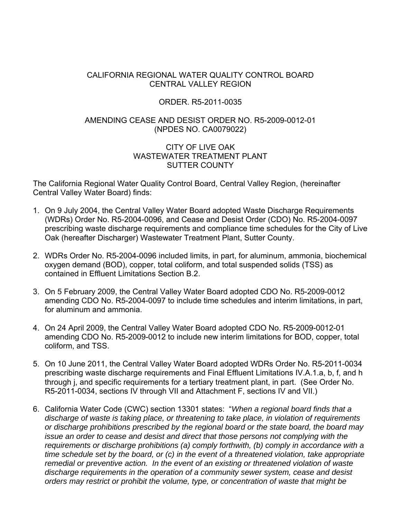### CALIFORNIA REGIONAL WATER QUALITY CONTROL BOARD CENTRAL VALLEY REGION

#### ORDER. R5-2011-0035

#### AMENDING CEASE AND DESIST ORDER NO. R5-2009-0012-01 (NPDES NO. CA0079022)

#### CITY OF LIVE OAK WASTEWATER TREATMENT PI ANT SUTTER COUNTY

The California Regional Water Quality Control Board, Central Valley Region, (hereinafter Central Valley Water Board) finds:

- 1. On 9 July 2004, the Central Valley Water Board adopted Waste Discharge Requirements (WDRs) Order No. R5-2004-0096, and Cease and Desist Order (CDO) No. R5-2004-0097 prescribing waste discharge requirements and compliance time schedules for the City of Live Oak (hereafter Discharger) Wastewater Treatment Plant, Sutter County.
- 2. WDRs Order No. R5-2004-0096 included limits, in part, for aluminum, ammonia, biochemical oxygen demand (BOD), copper, total coliform, and total suspended solids (TSS) as contained in Effluent Limitations Section B.2.
- 3. On 5 February 2009, the Central Valley Water Board adopted CDO No. R5-2009-0012 amending CDO No. R5-2004-0097 to include time schedules and interim limitations, in part, for aluminum and ammonia.
- 4. On 24 April 2009, the Central Valley Water Board adopted CDO No. R5-2009-0012-01 amending CDO No. R5-2009-0012 to include new interim limitations for BOD, copper, total coliform, and TSS.
- 5. On 10 June 2011, the Central Valley Water Board adopted WDRs Order No. R5-2011-0034 prescribing waste discharge requirements and Final Effluent Limitations IV.A.1.a, b, f, and h through j, and specific requirements for a tertiary treatment plant, in part. (See Order No. R5-2011-0034, sections IV through VII and Attachment F, sections IV and VII.)
- 6. California Water Code (CWC) section 13301 states: "*When a regional board finds that a discharge of waste is taking place, or threatening to take place, in violation of requirements or discharge prohibitions prescribed by the regional board or the state board, the board may issue an order to cease and desist and direct that those persons not complying with the requirements or discharge prohibitions (a) comply forthwith, (b) comply in accordance with a time schedule set by the board, or (c) in the event of a threatened violation, take appropriate remedial or preventive action. In the event of an existing or threatened violation of waste discharge requirements in the operation of a community sewer system, cease and desist orders may restrict or prohibit the volume, type, or concentration of waste that might be*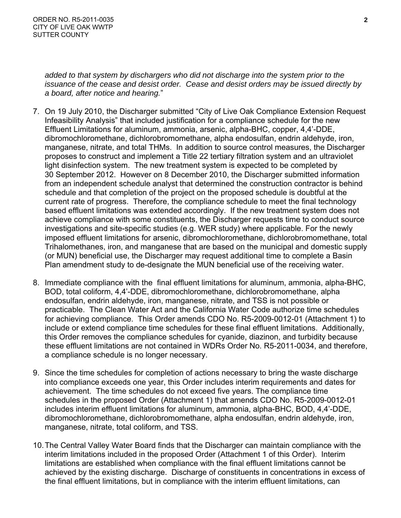*added to that system by dischargers who did not discharge into the system prior to the issuance of the cease and desist order. Cease and desist orders may be issued directly by a board, after notice and hearing.*"

- 7. On 19 July 2010, the Discharger submitted "City of Live Oak Compliance Extension Request Infeasibility Analysis" that included justification for a compliance schedule for the new Effluent Limitations for aluminum, ammonia, arsenic, alpha-BHC, copper, 4,4'-DDE, dibromochloromethane, dichlorobromomethane, alpha endosulfan, endrin aldehyde, iron, manganese, nitrate, and total THMs. In addition to source control measures, the Discharger proposes to construct and implement a Title 22 tertiary filtration system and an ultraviolet light disinfection system. The new treatment system is expected to be completed by 30 September 2012. However on 8 December 2010, the Discharger submitted information from an independent schedule analyst that determined the construction contractor is behind schedule and that completion of the project on the proposed schedule is doubtful at the current rate of progress. Therefore, the compliance schedule to meet the final technology based effluent limitations was extended accordingly. If the new treatment system does not achieve compliance with some constituents, the Discharger requests time to conduct source investigations and site-specific studies (e.g. WER study) where applicable. For the newly imposed effluent limitations for arsenic, dibromochloromethane, dichlorobromomethane, total Trihalomethanes, iron, and manganese that are based on the municipal and domestic supply (or MUN) beneficial use, the Discharger may request additional time to complete a Basin Plan amendment study to de-designate the MUN beneficial use of the receiving water.
- 8. Immediate compliance with the final effluent limitations for aluminum, ammonia, alpha-BHC, BOD, total coliform, 4,4'-DDE, dibromochloromethane, dichlorobromomethane, alpha endosulfan, endrin aldehyde, iron, manganese, nitrate, and TSS is not possible or practicable. The Clean Water Act and the California Water Code authorize time schedules for achieving compliance. This Order amends CDO No. R5-2009-0012-01 (Attachment 1) to include or extend compliance time schedules for these final effluent limitations. Additionally, this Order removes the compliance schedules for cyanide, diazinon, and turbidity because these effluent limitations are not contained in WDRs Order No. R5-2011-0034, and therefore, a compliance schedule is no longer necessary.
- 9. Since the time schedules for completion of actions necessary to bring the waste discharge into compliance exceeds one year, this Order includes interim requirements and dates for achievement. The time schedules do not exceed five years. The compliance time schedules in the proposed Order (Attachment 1) that amends CDO No. R5-2009-0012-01 includes interim effluent limitations for aluminum, ammonia, alpha-BHC, BOD, 4,4'-DDE, dibromochloromethane, dichlorobromomethane, alpha endosulfan, endrin aldehyde, iron, manganese, nitrate, total coliform, and TSS.
- 10. The Central Valley Water Board finds that the Discharger can maintain compliance with the interim limitations included in the proposed Order (Attachment 1 of this Order). Interim limitations are established when compliance with the final effluent limitations cannot be achieved by the existing discharge. Discharge of constituents in concentrations in excess of the final effluent limitations, but in compliance with the interim effluent limitations, can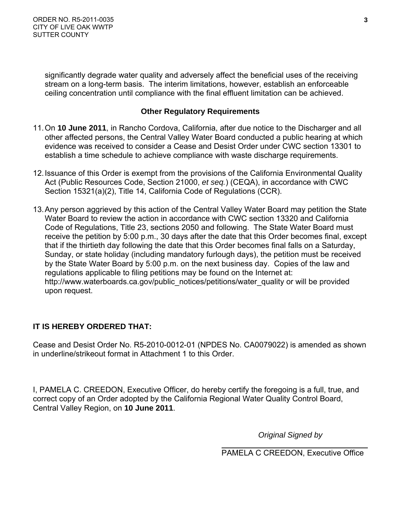significantly degrade water quality and adversely affect the beneficial uses of the receiving stream on a long-term basis. The interim limitations, however, establish an enforceable ceiling concentration until compliance with the final effluent limitation can be achieved.

# **Other Regulatory Requirements**

- 11. On **10 June 2011**, in Rancho Cordova, California, after due notice to the Discharger and all other affected persons, the Central Valley Water Board conducted a public hearing at which evidence was received to consider a Cease and Desist Order under CWC section 13301 to establish a time schedule to achieve compliance with waste discharge requirements.
- 12. Issuance of this Order is exempt from the provisions of the California Environmental Quality Act (Public Resources Code, Section 21000, *et seq.*) (CEQA), in accordance with CWC Section 15321(a)(2), Title 14, California Code of Regulations (CCR).
- 13. Any person aggrieved by this action of the Central Valley Water Board may petition the State Water Board to review the action in accordance with CWC section 13320 and California Code of Regulations, Title 23, sections 2050 and following. The State Water Board must receive the petition by 5:00 p.m., 30 days after the date that this Order becomes final, except that if the thirtieth day following the date that this Order becomes final falls on a Saturday, Sunday, or state holiday (including mandatory furlough days), the petition must be received by the State Water Board by 5:00 p.m. on the next business day. Copies of the law and regulations applicable to filing petitions may be found on the Internet at: http://www.waterboards.ca.gov/public\_notices/petitions/water\_quality or will be provided upon request.

# **IT IS HEREBY ORDERED THAT:**

Cease and Desist Order No. R5-2010-0012-01 (NPDES No. CA0079022) is amended as shown in underline/strikeout format in Attachment 1 to this Order.

I, PAMELA C. CREEDON, Executive Officer, do hereby certify the foregoing is a full, true, and correct copy of an Order adopted by the California Regional Water Quality Control Board, Central Valley Region, on **10 June 2011**.

 *Original Signed by* 

 $\overline{a}$ PAMELA C CREEDON, Executive Office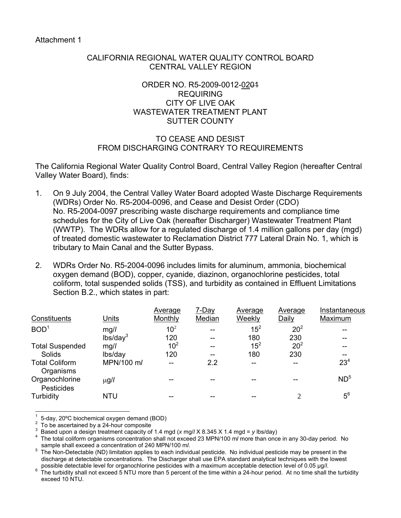### CALIFORNIA REGIONAL WATER QUALITY CONTROL BOARD CENTRAL VALLEY REGION

### ORDER NO. R5-2009-0012-0201 REQUIRING CITY OF LIVE OAK WASTEWATER TREATMENT PLANT SUTTER COUNTY

## TO CEASE AND DESIST FROM DISCHARGING CONTRARY TO REQUIREMENTS

The California Regional Water Quality Control Board, Central Valley Region (hereafter Central Valley Water Board), finds:

- 1. On 9 July 2004, the Central Valley Water Board adopted Waste Discharge Requirements (WDRs) Order No. R5-2004-0096, and Cease and Desist Order (CDO) No. R5-2004-0097 prescribing waste discharge requirements and compliance time schedules for the City of Live Oak (hereafter Discharger) Wastewater Treatment Plant (WWTP). The WDRs allow for a regulated discharge of 1.4 million gallons per day (mgd) of treated domestic wastewater to Reclamation District 777 Lateral Drain No. 1, which is tributary to Main Canal and the Sutter Bypass.
- 2. WDRs Order No. R5-2004-0096 includes limits for aluminum, ammonia, biochemical oxygen demand (BOD), copper, cyanide, diazinon, organochlorine pesticides, total coliform, total suspended solids (TSS), and turbidity as contained in Effluent Limitations Section B.2., which states in part:

|                      | Average         | 7-Day  | Average  | Average         | Instantaneous   |
|----------------------|-----------------|--------|----------|-----------------|-----------------|
| <b>Units</b>         | Monthly         | Median | Weekly   | Daily           | Maximum         |
| mg/l                 | 10 <sup>2</sup> | --     | $15^2$   | 20 <sup>2</sup> |                 |
| lbs/day <sup>3</sup> | 120             | --     | 180      | 230             |                 |
| mg/l                 | 10 <sup>2</sup> | --     | $15^{2}$ | 20 <sup>2</sup> |                 |
| lbs/day              | 120             | --     | 180      | 230             |                 |
| MPN/100 m/           | --              | 2.2    | --       |                 | 23 <sup>4</sup> |
| $\mu$ g/l            |                 |        |          |                 | ND <sup>5</sup> |
| <b>NTU</b>           |                 |        |          | ↑               | $5^6$           |
|                      |                 |        |          |                 |                 |

 $\overline{a}$ 1 5-day, 20ºC biochemical oxygen demand (BOD)

<sup>2</sup> To be ascertained by a 24-hour composite

<sup>3</sup> Based upon a design treatment capacity of 1.4 mgd (*x* mg/*l* X 8.345 X 1.4 mgd = *y* lbs/day) 4

The total coliform organisms concentration shall not exceed 23 MPN/100 m*l* more than once in any 30-day period. No sample shall exceed a concentration of 240 MPN/100 m*l*.<br><sup>5</sup> The Nep Detectable (ND) limitation applies to each individe

The Non-Detectable (ND) limitation applies to each individual pesticide. No individual pesticide may be present in the discharge at detectable concentrations. The Discharger shall use EPA standard analytical techniques with the lowest

possible detectable level for organochlorine pesticides with a maximum acceptable detection level of 0.05 µg/*l*.<br><sup>6</sup> The turbidity shall not oveged 5 NTLL mere than 5 percent of the time within a 24 hour period. At no tim The turbidity shall not exceed 5 NTU more than 5 percent of the time within a 24-hour period. At no time shall the turbidity exceed 10 NTU.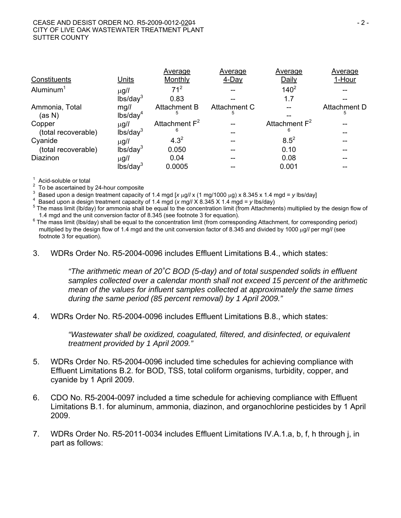|                       |                      | Average             | Average      | Average          | Average      |
|-----------------------|----------------------|---------------------|--------------|------------------|--------------|
| Constituents          | Units                | Monthly             | 4-Day        | Daily            | 1-Hour       |
| Aluminum <sup>1</sup> | $\mu$ g/l            | 71 <sup>2</sup>     |              | $140^{2}$        |              |
|                       | lbs/day <sup>3</sup> | 0.83                |              | 1.7              |              |
| Ammonia, Total        | mg/l                 | <b>Attachment B</b> | Attachment C |                  | Attachment D |
| (as N)                | lbs/day <sup>4</sup> | 5                   |              |                  | 5            |
| Copper                | $\mu$ g/l            | Attachment $F^2$    |              | Attachment $F^2$ |              |
| (total recoverable)   | lbs/day <sup>3</sup> | 6                   |              | 6                |              |
| Cyanide               | $\mu$ g/l            | $4.3^{2}$           |              | $8.5^{2}$        |              |
| (total recoverable)   | lbs/day <sup>3</sup> | 0.050               |              | 0.10             |              |
| Diazinon              | $\mu$ g/l            | 0.04                |              | 0.08             |              |
|                       | lbs/day <sup>3</sup> | 0.0005              |              | 0.001            |              |

1 Acid-soluble or total

2 To be ascertained by 24-hour composite

3 Based upon a design treatment capacity of 1.4 mgd  $[x \mu g / x (1 \mu g / 1000 \mu g) x 8.345 x 1.4 \mu g d = y \text{ lbs/day}$ 

Based upon a design treatment capacity of 1.4 mgd (*x* mg/*l* X 8.345 X 1.4 mgd = *y* lbs/day) 5

 $5$  The mass limit (lb/day) for ammonia shall be equal to the concentration limit (from Attachments) multiplied by the design flow of 1.4 mgd and the unit conversion factor of 8.345 (see footnote 3 for equation).

 $6$  The mass limit (lbs/day) shall be equal to the concentration limit (from corresponding Attachment, for corresponding period) multiplied by the design flow of 1.4 mgd and the unit conversion factor of 8.345 and divided by 1000 µg// per mg// (see footnote 3 for equation).

3. WDRs Order No. R5-2004-0096 includes Effluent Limitations B.4., which states:

*"The arithmetic mean of 20˚C BOD (5-day) and of total suspended solids in effluent samples collected over a calendar month shall not exceed 15 percent of the arithmetic mean of the values for influent samples collected at approximately the same times during the same period (85 percent removal) by 1 April 2009."* 

4. WDRs Order No. R5-2004-0096 includes Effluent Limitations B.8., which states:

*"Wastewater shall be oxidized, coagulated, filtered, and disinfected, or equivalent treatment provided by 1 April 2009."* 

- 5. WDRs Order No. R5-2004-0096 included time schedules for achieving compliance with Effluent Limitations B.2. for BOD, TSS, total coliform organisms, turbidity, copper, and cyanide by 1 April 2009.
- 6. CDO No. R5-2004-0097 included a time schedule for achieving compliance with Effluent Limitations B.1. for aluminum, ammonia, diazinon, and organochlorine pesticides by 1 April 2009.
- 7. WDRs Order No. R5-2011-0034 includes Effluent Limitations IV.A.1.a, b, f, h through j, in part as follows: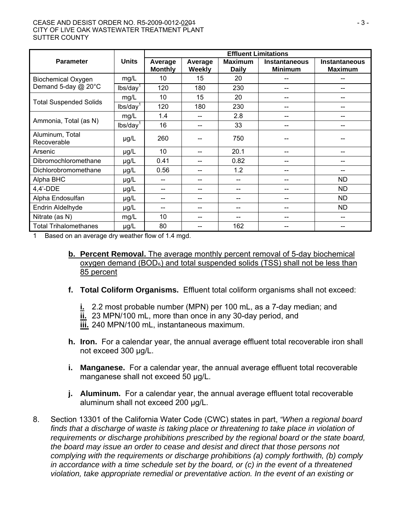#### CEASE AND DESIST ORDER NO. R5-2009-0012-0201 - 3 - CITY OF LIVE OAK WASTEWATER TREATMENT PLANT SUTTER COUNTY

|                                |                      | <b>Effluent Limitations</b> |                          |                                |                                        |                                        |  |
|--------------------------------|----------------------|-----------------------------|--------------------------|--------------------------------|----------------------------------------|----------------------------------------|--|
| <b>Parameter</b>               | <b>Units</b>         | Average<br><b>Monthly</b>   | Average<br><b>Weekly</b> | <b>Maximum</b><br><b>Daily</b> | <b>Instantaneous</b><br><b>Minimum</b> | <b>Instantaneous</b><br><b>Maximum</b> |  |
| <b>Biochemical Oxygen</b>      | mg/L                 | 10                          | 15                       | 20                             |                                        | --                                     |  |
| Demand 5-day @ 20°C            | lbs/day <sup>1</sup> | 120                         | 180                      | 230                            | --                                     | --                                     |  |
| <b>Total Suspended Solids</b>  | mg/L                 | 10                          | 15                       | 20<br>--                       |                                        | --                                     |  |
|                                | lbs/day <sup>1</sup> | 120                         | 180                      | 230                            |                                        |                                        |  |
|                                | mg/L                 | 1.4                         | --                       | 2.8                            |                                        |                                        |  |
| Ammonia, Total (as N)          | lbs/day <sup>1</sup> | 16                          | --                       | 33                             |                                        |                                        |  |
| Aluminum, Total<br>Recoverable | $\mu$ g/L            | 260                         |                          | 750                            |                                        |                                        |  |
| Arsenic                        | $\mu$ g/L            | 10                          | $-$                      | 20.1                           | --                                     | --                                     |  |
| Dibromochloromethane           | $\mu g/L$            | 0.41                        | --                       | 0.82                           | --                                     | --                                     |  |
| Dichlorobromomethane           | µg/L                 | 0.56                        | --                       | 1.2                            | --                                     |                                        |  |
| Alpha BHC                      | µg/L                 | --                          | --                       |                                |                                        | <b>ND</b>                              |  |
| $4,4'$ -DDE                    | µg/L                 | --                          | --                       |                                | --                                     | <b>ND</b>                              |  |
| Alpha Endosulfan               | $\mu$ g/L            | --                          | --                       | --                             | --                                     | ND.                                    |  |
| Endrin Aldelhyde               | $\mu$ g/L            | --                          | --                       |                                | --                                     | <b>ND</b>                              |  |
| Nitrate (as N)                 | mg/L                 | 10                          | --                       |                                |                                        |                                        |  |
| <b>Total Trihalomethanes</b>   | $\mu$ g/L            | 80                          |                          | 162                            |                                        |                                        |  |

1 Based on an average dry weather flow of 1.4 mgd.

- **b. Percent Removal.** The average monthly percent removal of 5-day biochemical oxygen demand  $(BOD<sub>5</sub>)$  and total suspended solids  $(TSS)$  shall not be less than 85 percent
- **f. Total Coliform Organisms.** Effluent total coliform organisms shall not exceed:
	- **i.** 2.2 most probable number (MPN) per 100 mL, as a 7-day median; and
	- **ii.** 23 MPN/100 mL, more than once in any 30-day period, and

**iii.** 240 MPN/100 mL, instantaneous maximum.

- **h. Iron.** For a calendar year, the annual average effluent total recoverable iron shall not exceed 300 µg/L.
- **i. Manganese.** For a calendar year, the annual average effluent total recoverable manganese shall not exceed 50 µg/L.
- **j. Aluminum.** For a calendar year, the annual average effluent total recoverable aluminum shall not exceed 200 µg/L.
- 8. Section 13301 of the California Water Code (CWC) states in part, *"When a regional board finds that a discharge of waste is taking place or threatening to take place in violation of requirements or discharge prohibitions prescribed by the regional board or the state board, the board may issue an order to cease and desist and direct that those persons not complying with the requirements or discharge prohibitions (a) comply forthwith, (b) comply in accordance with a time schedule set by the board, or (c) in the event of a threatened violation, take appropriate remedial or preventative action. In the event of an existing or*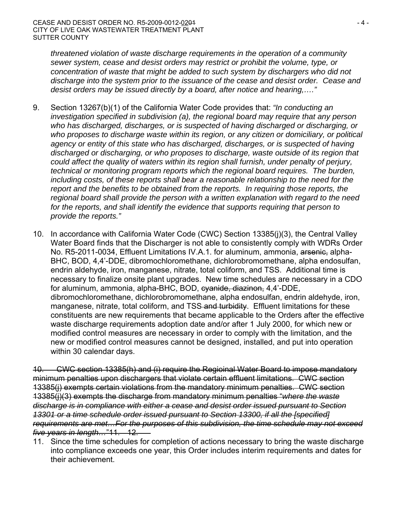*threatened violation of waste discharge requirements in the operation of a community sewer system, cease and desist orders may restrict or prohibit the volume, type, or concentration of waste that might be added to such system by dischargers who did not discharge into the system prior to the issuance of the cease and desist order. Cease and desist orders may be issued directly by a board, after notice and hearing,…."*

- 9. Section 13267(b)(1) of the California Water Code provides that: *"In conducting an investigation specified in subdivision (a), the regional board may require that any person who has discharged, discharges, or is suspected of having discharged or discharging, or who proposes to discharge waste within its region, or any citizen or domiciliary, or political agency or entity of this state who has discharged, discharges, or is suspected of having discharged or discharging, or who proposes to discharge, waste outside of its region that could affect the quality of waters within its region shall furnish, under penalty of perjury, technical or monitoring program reports which the regional board requires. The burden, including costs, of these reports shall bear a reasonable relationship to the need for the report and the benefits to be obtained from the reports. In requiring those reports, the regional board shall provide the person with a written explanation with regard to the need for the reports, and shall identify the evidence that supports requiring that person to provide the reports."*
- 10. In accordance with California Water Code (CWC) Section 13385(j)(3), the Central Valley Water Board finds that the Discharger is not able to consistently comply with WDRs Order No. R5-2011-0034, Effluent Limitations IV.A.1. for aluminum, ammonia, arsenie, alpha-BHC, BOD, 4,4'-DDE, dibromochloromethane, dichlorobromomethane, alpha endosulfan, endrin aldehyde, iron, manganese, nitrate, total coliform, and TSS. Additional time is necessary to finalize onsite plant upgrades. New time schedules are necessary in a CDO for aluminum, ammonia, alpha-BHC, BOD, evanide, diazinon, 4,4'-DDE, dibromochloromethane, dichlorobromomethane, alpha endosulfan, endrin aldehyde, iron, manganese, nitrate, total coliform, and TSS and turbidity. Effluent limitations for these constituents are new requirements that became applicable to the Orders after the effective waste discharge requirements adoption date and/or after 1 July 2000, for which new or modified control measures are necessary in order to comply with the limitation, and the new or modified control measures cannot be designed, installed, and put into operation within 30 calendar days.

10. CWC section 13385(h) and (i) require the Regioinal Water Board to impose mandatory minimum penalties upon dischargers that violate certain effluent limitations. CWC section 13385(j) exempts certain violations from the mandatory minimum penalties. CWC section 13385(j)(3) exempts the discharge from mandatory minimum penalties "*where the waste discharge is in compliance with either a cease and desist order issued pursuant to Section 13301 or a time schedule order issued pursuant to Section 13300, if all the [specified] requirements are met…For the purposes of this subdivision, the time schedule may not exceed five years in length…*"11. 12.

11. Since the time schedules for completion of actions necessary to bring the waste discharge into compliance exceeds one year, this Order includes interim requirements and dates for their achievement.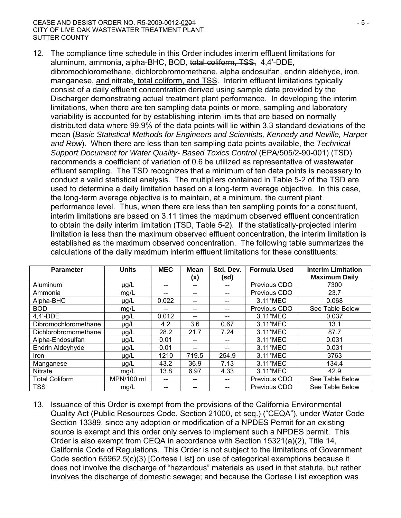#### CEASE AND DESIST ORDER NO. R5-2009-0012-0201 - 5 - CITY OF LIVE OAK WASTEWATER TREATMENT PLANT SUTTER COUNTY

12. The compliance time schedule in this Order includes interim effluent limitations for aluminum, ammonia, alpha-BHC, BOD, total coliform, TSS, 4,4'-DDE, dibromochloromethane, dichlorobromomethane, alpha endosulfan, endrin aldehyde, iron, manganese, and nitrate, total coliform, and TSS. Interim effluent limitations typically consist of a daily effluent concentration derived using sample data provided by the Discharger demonstrating actual treatment plant performance. In developing the interim limitations, when there are ten sampling data points or more, sampling and laboratory variability is accounted for by establishing interim limits that are based on normally distributed data where 99.9% of the data points will lie within 3.3 standard deviations of the mean (*Basic Statistical Methods for Engineers and Scientists, Kennedy and Neville, Harper and Row*). When there are less than ten sampling data points available, the *Technical Support Document for Water Quality- Based Toxics Control* (EPA/505/2-90-001) (TSD) recommends a coefficient of variation of 0.6 be utilized as representative of wastewater effluent sampling. The TSD recognizes that a minimum of ten data points is necessary to conduct a valid statistical analysis. The multipliers contained in Table 5-2 of the TSD are used to determine a daily limitation based on a long-term average objective. In this case, the long-term average objective is to maintain, at a minimum, the current plant performance level. Thus, when there are less than ten sampling points for a constituent, interim limitations are based on 3.11 times the maximum observed effluent concentration to obtain the daily interim limitation (TSD, Table 5-2). If the statistically-projected interim limitation is less than the maximum observed effluent concentration, the interim limitation is established as the maximum observed concentration. The following table summarizes the calculations of the daily maximum interim effluent limitations for these constituents:

| <b>Parameter</b>      | <b>Units</b> | <b>MEC</b> | <b>Mean</b><br>(x) | Std. Dev.<br>(sd) | <b>Formula Used</b> | <b>Interim Limitation</b><br><b>Maximum Daily</b> |  |
|-----------------------|--------------|------------|--------------------|-------------------|---------------------|---------------------------------------------------|--|
| Aluminum              | $\mu$ g/L    |            | --                 |                   | Previous CDO        | 7300                                              |  |
| Ammonia               | mg/L         |            |                    |                   | Previous CDO        | 23.7                                              |  |
| Alpha-BHC             | $\mu$ g/L    | 0.022      | --                 | --                | 3.11*MEC            | 0.068                                             |  |
| <b>BOD</b>            | mg/L         |            |                    |                   | Previous CDO        | See Table Below                                   |  |
| $4.4'$ -DDE           | $\mu$ g/L    | 0.012      | --                 | --                | 3.11*MEC            | 0.037                                             |  |
| Dibromochloromethane  | µg/L         | 4.2        | 3.6                | 0.67              | 3.11*MEC            | 13.1                                              |  |
| Dichlorobromomethane  | µg/L         | 28.2       | 21.7               | 7.24              | 3.11*MEC            | 87.7                                              |  |
| Alpha-Endosulfan      | $\mu$ g/L    | 0.01       | --                 |                   | 3.11*MEC            | 0.031                                             |  |
| Endrin Aldeyhyde      | $\mu$ g/L    | 0.01       | --                 | --                | 3.11*MEC            | 0.031                                             |  |
| <i>Iron</i>           | $\mu$ g/L    | 1210       | 719.5              | 254.9             | 3.11*MEC            | 3763                                              |  |
| Manganese             | $\mu$ g/L    | 43.2       | 36.9               | 7.13              | 3.11*MEC            | 134.4                                             |  |
| <b>Nitrate</b>        | mg/L         | 13.8       | 6.97               | 4.33              | 3.11*MEC            | 42.9                                              |  |
| <b>Total Coliform</b> | MPN/100 ml   |            | --                 |                   | Previous CDO        | See Table Below                                   |  |
| <b>TSS</b>            | mg/L         |            |                    |                   | Previous CDO        | See Table Below                                   |  |

13. Issuance of this Order is exempt from the provisions of the California Environmental Quality Act (Public Resources Code, Section 21000, et seq.) ("CEQA"), under Water Code Section 13389, since any adoption or modification of a NPDES Permit for an existing source is exempt and this order only serves to implement such a NPDES permit. This Order is also exempt from CEQA in accordance with Section 15321(a)(2), Title 14, California Code of Regulations. This Order is not subject to the limitations of Government Code section 65962.5(c)(3) [Cortese List] on use of categorical exemptions because it does not involve the discharge of "hazardous" materials as used in that statute, but rather involves the discharge of domestic sewage; and because the Cortese List exception was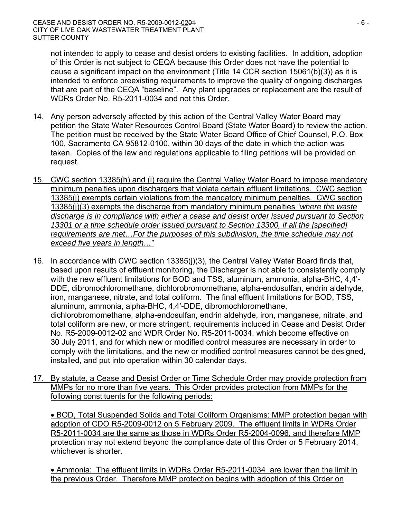not intended to apply to cease and desist orders to existing facilities. In addition, adoption of this Order is not subject to CEQA because this Order does not have the potential to cause a significant impact on the environment (Title 14 CCR section 15061(b)(3)) as it is intended to enforce preexisting requirements to improve the quality of ongoing discharges that are part of the CEQA "baseline". Any plant upgrades or replacement are the result of WDRs Order No. R5-2011-0034 and not this Order.

- 14. Any person adversely affected by this action of the Central Valley Water Board may petition the State Water Resources Control Board (State Water Board) to review the action. The petition must be received by the State Water Board Office of Chief Counsel, P.O. Box 100, Sacramento CA 95812-0100, within 30 days of the date in which the action was taken. Copies of the law and regulations applicable to filing petitions will be provided on request.
- 15. CWC section 13385(h) and (i) require the Central Valley Water Board to impose mandatory minimum penalties upon dischargers that violate certain effluent limitations. CWC section 13385(j) exempts certain violations from the mandatory minimum penalties. CWC section 13385(j)(3) exempts the discharge from mandatory minimum penalties "*where the waste discharge is in compliance with either a cease and desist order issued pursuant to Section 13301 or a time schedule order issued pursuant to Section 13300, if all the [specified] requirements are met…For the purposes of this subdivision, the time schedule may not exceed five years in length…*"
- 16. In accordance with CWC section 13385(j)(3), the Central Valley Water Board finds that, based upon results of effluent monitoring, the Discharger is not able to consistently comply with the new effluent limitations for BOD and TSS, aluminum, ammonia, alpha-BHC, 4,4'- DDE, dibromochloromethane, dichlorobromomethane, alpha-endosulfan, endrin aldehyde, iron, manganese, nitrate, and total coliform. The final effluent limitations for BOD, TSS, aluminum, ammonia, alpha-BHC, 4,4'-DDE, dibromochloromethane, dichlorobromomethane, alpha-endosulfan, endrin aldehyde, iron, manganese, nitrate, and total coliform are new, or more stringent, requirements included in Cease and Desist Order No. R5-2009-0012-02 and WDR Order No. R5-2011-0034, which become effective on 30 July 2011, and for which new or modified control measures are necessary in order to comply with the limitations, and the new or modified control measures cannot be designed, installed, and put into operation within 30 calendar days.
- 17. By statute, a Cease and Desist Order or Time Schedule Order may provide protection from MMPs for no more than five years. This Order provides protection from MMPs for the following constituents for the following periods:

 BOD, Total Suspended Solids and Total Coliform Organisms: MMP protection began with adoption of CDO R5-2009-0012 on 5 February 2009. The effluent limits in WDRs Order R5-2011-0034 are the same as those in WDRs Order R5-2004-0096, and therefore MMP protection may not extend beyond the compliance date of this Order or 5 February 2014, whichever is shorter.

 Ammonia: The effluent limits in WDRs Order R5-2011-0034 are lower than the limit in the previous Order. Therefore MMP protection begins with adoption of this Order on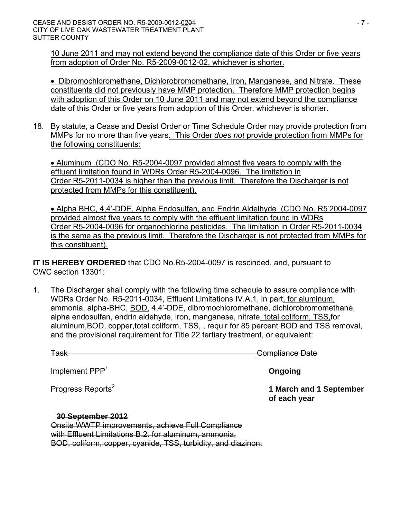10 June 2011 and may not extend beyond the compliance date of this Order or five years from adoption of Order No. R5-2009-0012-02, whichever is shorter.

**• Dibromochloromethane, Dichlorobromomethane, Iron, Manganese, and Nitrate. These** constituents did not previously have MMP protection. Therefore MMP protection begins with adoption of this Order on 10 June 2011 and may not extend beyond the compliance date of this Order or five years from adoption of this Order, whichever is shorter.

18. By statute, a Cease and Desist Order or Time Schedule Order may provide protection from MMPs for no more than five years. This Order *does not* provide protection from MMPs for the following constituents:

 Aluminum (CDO No. R5-2004-0097 provided almost five years to comply with the effluent limitation found in WDRs Order R5-2004-0096. The limitation in Order R5-2011-0034 is higher than the previous limit. Therefore the Discharger is not protected from MMPs for this constituent).

• Alpha BHC, 4,4'-DDE, Alpha Endosulfan, and Endrin Aldelhyde (CDO No. R52004-0097) provided almost five years to comply with the effluent limitation found in WDRs Order R5-2004-0096 for organochlorine pesticides. The limitation in Order R5-2011-0034 is the same as the previous limit. Therefore the Discharger is not protected from MMPs for this constituent).

**IT IS HEREBY ORDERED** that CDO No.R5-2004-0097 is rescinded, and, pursuant to CWC section 13301:

1. The Discharger shall comply with the following time schedule to assure compliance with WDRs Order No. R5-2011-0034, Effluent Limitations IV.A.1, in part, for aluminum, ammonia, alpha-BHC, BOD, 4,4'-DDE, dibromochloromethane, dichlorobromomethane, alpha endosulfan, endrin aldehyde, iron, manganese, nitrate, total coliform, TSS,for aluminum,BOD, copper,total coliform, TSS, , requir for 85 percent BOD and TSS removal, and the provisional requirement for Title 22 tertiary treatment, or equivalent:

| <u> <del>Task</del></u>       | Compliance Date                                |
|-------------------------------|------------------------------------------------|
| Implement PPP <sup>+</sup>    | Ongoing                                        |
| Progress Reports <sup>2</sup> | <b>1 March and 1 September</b><br>of each year |

#### **30 September 2012**

Onsite WWTP improvements, achieve Full Compliance with Effluent Limitations B.2. for aluminum, ammonia. BOD, coliform, copper, cyanide, TSS, turbidity, and diazinon.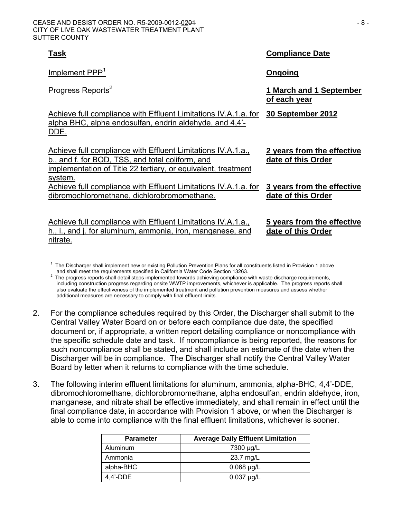| Task                                                                                                                                                                                         | <b>Compliance Date</b>                           |
|----------------------------------------------------------------------------------------------------------------------------------------------------------------------------------------------|--------------------------------------------------|
| Implement PPP <sup>1</sup>                                                                                                                                                                   | <u>Ongoing</u>                                   |
| Progress Reports <sup>2</sup>                                                                                                                                                                | 1 March and 1 September<br>of each year          |
| Achieve full compliance with Effluent Limitations IV.A.1.a. for<br>alpha BHC, alpha endosulfan, endrin aldehyde, and 4,4'-<br><u>DDE.</u>                                                    | 30 September 2012                                |
| Achieve full compliance with Effluent Limitations IV.A.1.a.,<br>b., and f. for BOD, TSS, and total coliform, and<br>implementation of Title 22 tertiary, or equivalent, treatment<br>system. | 2 years from the effective<br>date of this Order |
| Achieve full compliance with Effluent Limitations IV.A.1.a. for<br>dibromochloromethane, dichlorobromomethane.                                                                               | 3 years from the effective<br>date of this Order |
| Achieve full compliance with Effluent Limitations IV.A.1.a.,<br>h., i., and j. for aluminum, ammonia, iron, manganese, and<br>nitrate.                                                       | 5 years from the effective<br>date of this Order |

 1 The Discharger shall implement new or existing Pollution Prevention Plans for all constituents listed in Provision 1 above and shall meet the requirements specified in California Water Code Section 13263.

- 2. For the compliance schedules required by this Order, the Discharger shall submit to the Central Valley Water Board on or before each compliance due date, the specified document or, if appropriate, a written report detailing compliance or noncompliance with the specific schedule date and task. If noncompliance is being reported, the reasons for such noncompliance shall be stated, and shall include an estimate of the date when the Discharger will be in compliance. The Discharger shall notify the Central Valley Water Board by letter when it returns to compliance with the time schedule.
- 3. The following interim effluent limitations for aluminum, ammonia, alpha-BHC, 4,4'-DDE, dibromochloromethane, dichlorobromomethane, alpha endosulfan, endrin aldehyde, iron, manganese, and nitrate shall be effective immediately, and shall remain in effect until the final compliance date, in accordance with Provision 1 above, or when the Discharger is able to come into compliance with the final effluent limitations, whichever is sooner.

| <b>Parameter</b> | <b>Average Daily Effluent Limitation</b> |  |  |  |  |
|------------------|------------------------------------------|--|--|--|--|
| Aluminum         | 7300 µg/L                                |  |  |  |  |
| Ammonia          | 23.7 mg/L                                |  |  |  |  |
| alpha-BHC        | $0.068 \mu g/L$                          |  |  |  |  |
| 4.4'-DDE         | $0.037$ µg/L                             |  |  |  |  |

The progress reports shall detail steps implemented towards achieving compliance with waste discharge requirements, including construction progress regarding onsite WWTP improvements, whichever is applicable. The progress reports shall also evaluate the effectiveness of the implemented treatment and pollution prevention measures and assess whether additional measures are necessary to comply with final effluent limits.